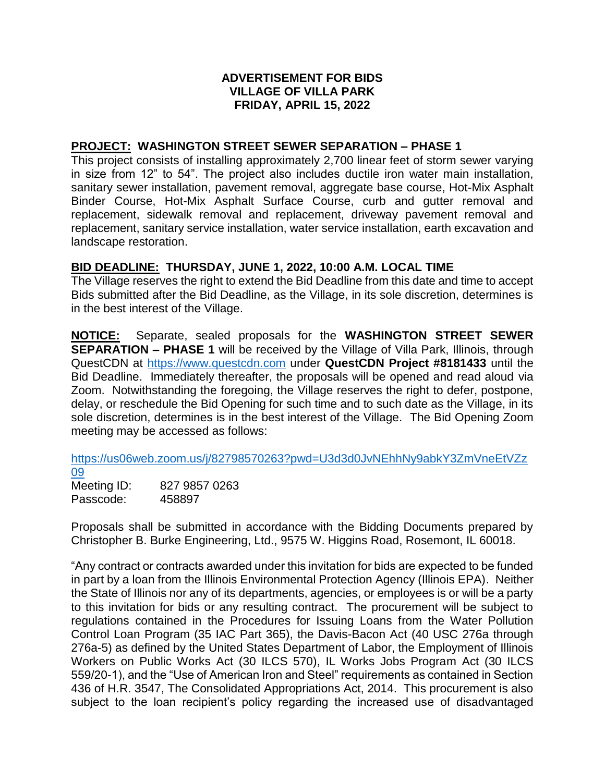## **ADVERTISEMENT FOR BIDS VILLAGE OF VILLA PARK FRIDAY, APRIL 15, 2022**

## **PROJECT: WASHINGTON STREET SEWER SEPARATION – PHASE 1**

This project consists of installing approximately 2,700 linear feet of storm sewer varying in size from 12" to 54". The project also includes ductile iron water main installation, sanitary sewer installation, pavement removal, aggregate base course, Hot-Mix Asphalt Binder Course, Hot-Mix Asphalt Surface Course, curb and gutter removal and replacement, sidewalk removal and replacement, driveway pavement removal and replacement, sanitary service installation, water service installation, earth excavation and landscape restoration.

## **BID DEADLINE: THURSDAY, JUNE 1, 2022, 10:00 A.M. LOCAL TIME**

The Village reserves the right to extend the Bid Deadline from this date and time to accept Bids submitted after the Bid Deadline, as the Village, in its sole discretion, determines is in the best interest of the Village.

**NOTICE:** Separate, sealed proposals for the **WASHINGTON STREET SEWER SEPARATION – PHASE 1** will be received by the Village of Villa Park, Illinois, through QuestCDN at [https://www.questcdn.com](https://www.questcdn.com/) under **QuestCDN Project #8181433** until the Bid Deadline. Immediately thereafter, the proposals will be opened and read aloud via Zoom. Notwithstanding the foregoing, the Village reserves the right to defer, postpone, delay, or reschedule the Bid Opening for such time and to such date as the Village, in its sole discretion, determines is in the best interest of the Village. The Bid Opening Zoom meeting may be accessed as follows:

[https://us06web.zoom.us/j/82798570263?pwd=U3d3d0JvNEhhNy9abkY3ZmVneEtVZz](https://us06web.zoom.us/j/82798570263?pwd=U3d3d0JvNEhhNy9abkY3ZmVneEtVZz09) [09](https://us06web.zoom.us/j/82798570263?pwd=U3d3d0JvNEhhNy9abkY3ZmVneEtVZz09)

Meeting ID: 827 9857 0263 Passcode: 458897

Proposals shall be submitted in accordance with the Bidding Documents prepared by Christopher B. Burke Engineering, Ltd., 9575 W. Higgins Road, Rosemont, IL 60018.

"Any contract or contracts awarded under this invitation for bids are expected to be funded in part by a loan from the Illinois Environmental Protection Agency (Illinois EPA). Neither the State of Illinois nor any of its departments, agencies, or employees is or will be a party to this invitation for bids or any resulting contract. The procurement will be subject to regulations contained in the Procedures for Issuing Loans from the Water Pollution Control Loan Program (35 IAC Part 365), the Davis-Bacon Act (40 USC 276a through 276a-5) as defined by the United States Department of Labor, the Employment of Illinois Workers on Public Works Act (30 ILCS 570), IL Works Jobs Program Act (30 ILCS 559/20-1), and the "Use of American Iron and Steel" requirements as contained in Section 436 of H.R. 3547, The Consolidated Appropriations Act, 2014. This procurement is also subject to the loan recipient's policy regarding the increased use of disadvantaged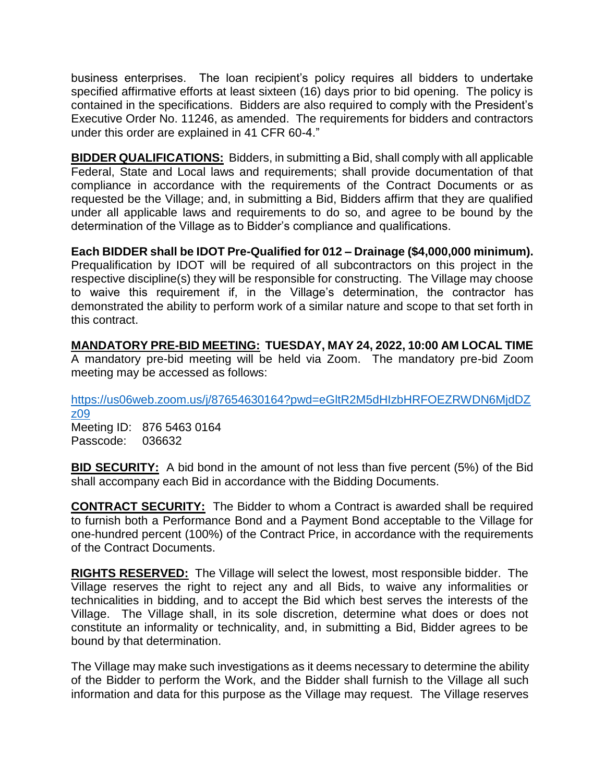business enterprises. The loan recipient's policy requires all bidders to undertake specified affirmative efforts at least sixteen (16) days prior to bid opening. The policy is contained in the specifications. Bidders are also required to comply with the President's Executive Order No. 11246, as amended. The requirements for bidders and contractors under this order are explained in 41 CFR 60-4."

**BIDDER QUALIFICATIONS:** Bidders, in submitting a Bid, shall comply with all applicable Federal, State and Local laws and requirements; shall provide documentation of that compliance in accordance with the requirements of the Contract Documents or as requested be the Village; and, in submitting a Bid, Bidders affirm that they are qualified under all applicable laws and requirements to do so, and agree to be bound by the determination of the Village as to Bidder's compliance and qualifications.

**Each BIDDER shall be IDOT Pre-Qualified for 012 – Drainage (\$4,000,000 minimum).** Prequalification by IDOT will be required of all subcontractors on this project in the respective discipline(s) they will be responsible for constructing. The Village may choose to waive this requirement if, in the Village's determination, the contractor has demonstrated the ability to perform work of a similar nature and scope to that set forth in this contract.

**MANDATORY PRE-BID MEETING: TUESDAY, MAY 24, 2022, 10:00 AM LOCAL TIME** A mandatory pre-bid meeting will be held via Zoom. The mandatory pre-bid Zoom meeting may be accessed as follows:

[https://us06web.zoom.us/j/87654630164?pwd=eGltR2M5dHIzbHRFOEZRWDN6MjdDZ](https://us06web.zoom.us/j/87654630164?pwd=eGltR2M5dHIzbHRFOEZRWDN6MjdDZz09) [z09](https://us06web.zoom.us/j/87654630164?pwd=eGltR2M5dHIzbHRFOEZRWDN6MjdDZz09) Meeting ID: 876 5463 0164

Passcode: 036632

**BID SECURITY:** A bid bond in the amount of not less than five percent (5%) of the Bid shall accompany each Bid in accordance with the Bidding Documents.

**CONTRACT SECURITY:** The Bidder to whom a Contract is awarded shall be required to furnish both a Performance Bond and a Payment Bond acceptable to the Village for one-hundred percent (100%) of the Contract Price, in accordance with the requirements of the Contract Documents.

**RIGHTS RESERVED:** The Village will select the lowest, most responsible bidder. The Village reserves the right to reject any and all Bids, to waive any informalities or technicalities in bidding, and to accept the Bid which best serves the interests of the Village. The Village shall, in its sole discretion, determine what does or does not constitute an informality or technicality, and, in submitting a Bid, Bidder agrees to be bound by that determination.

The Village may make such investigations as it deems necessary to determine the ability of the Bidder to perform the Work, and the Bidder shall furnish to the Village all such information and data for this purpose as the Village may request. The Village reserves